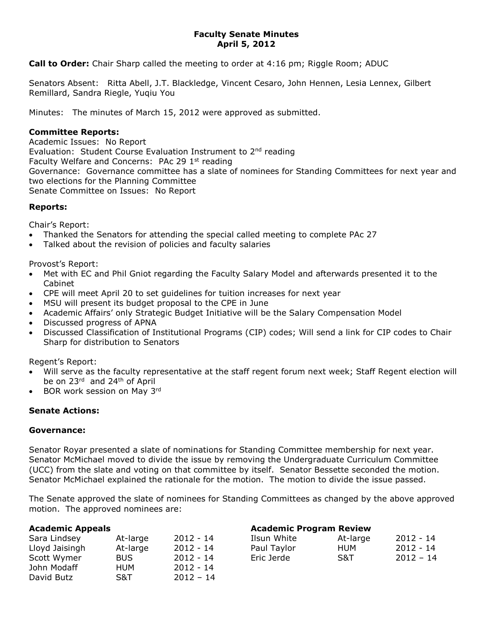## **Faculty Senate Minutes April 5, 2012**

**Call to Order:** Chair Sharp called the meeting to order at 4:16 pm; Riggle Room; ADUC

Senators Absent: Ritta Abell, J.T. Blackledge, Vincent Cesaro, John Hennen, Lesia Lennex, Gilbert Remillard, Sandra Riegle, Yuqiu You

Minutes: The minutes of March 15, 2012 were approved as submitted.

### **Committee Reports:**

Academic Issues: No Report Evaluation: Student Course Evaluation Instrument to 2<sup>nd</sup> reading Faculty Welfare and Concerns: PAc 29 1<sup>st</sup> reading Governance: Governance committee has a slate of nominees for Standing Committees for next year and two elections for the Planning Committee Senate Committee on Issues: No Report

### **Reports:**

Chair's Report:

- Thanked the Senators for attending the special called meeting to complete PAc 27
- Talked about the revision of policies and faculty salaries

Provost's Report:

- Met with EC and Phil Gniot regarding the Faculty Salary Model and afterwards presented it to the Cabinet
- CPE will meet April 20 to set guidelines for tuition increases for next year
- MSU will present its budget proposal to the CPE in June
- Academic Affairs' only Strategic Budget Initiative will be the Salary Compensation Model
- Discussed progress of APNA
- Discussed Classification of Institutional Programs (CIP) codes; Will send a link for CIP codes to Chair Sharp for distribution to Senators

Regent's Report:

- Will serve as the faculty representative at the staff regent forum next week; Staff Regent election will be on 23<sup>rd</sup> and 24<sup>th</sup> of April
- BOR work session on May 3rd

# **Senate Actions:**

#### **Governance:**

Senator Royar presented a slate of nominations for Standing Committee membership for next year. Senator McMichael moved to divide the issue by removing the Undergraduate Curriculum Committee (UCC) from the slate and voting on that committee by itself. Senator Bessette seconded the motion. Senator McMichael explained the rationale for the motion. The motion to divide the issue passed.

The Senate approved the slate of nominees for Standing Committees as changed by the above approved motion. The approved nominees are:

| <b>Academic Appeals</b> |            |             | <b>Academic Program Review</b> |          |             |
|-------------------------|------------|-------------|--------------------------------|----------|-------------|
| Sara Lindsey            | At-large   | $2012 - 14$ | Ilsun White                    | At-large | 2012 - 14   |
| Lloyd Jaisingh          | At-large   | $2012 - 14$ | Paul Taylor                    | HUM      | $2012 - 14$ |
| Scott Wymer             | <b>BUS</b> | $2012 - 14$ | Eric Jerde                     | S&T      | $2012 - 14$ |
| John Modaff             | HUM        | $2012 - 14$ |                                |          |             |
| David Butz              | S&T        | $2012 - 14$ |                                |          |             |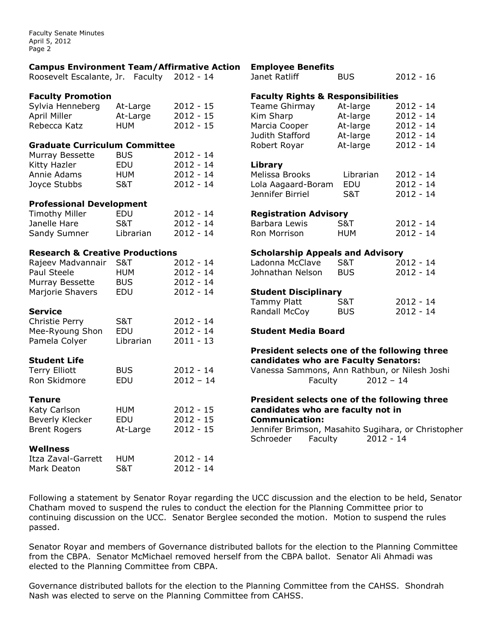Faculty Senate Minutes April 5, 2012 Page 2

| <b>Campus Environment Team/Affirmative Action</b> |                |             | <b>Employee Benefits</b>                                                    |                |             |  |
|---------------------------------------------------|----------------|-------------|-----------------------------------------------------------------------------|----------------|-------------|--|
| Roosevelt Escalante, Jr. Faculty                  |                | $2012 - 14$ | Janet Ratliff                                                               | <b>BUS</b>     | $2012 - 16$ |  |
| <b>Faculty Promotion</b>                          |                |             | <b>Faculty Rights &amp; Responsibilities</b>                                |                |             |  |
| Sylvia Henneberg                                  | At-Large       | $2012 - 15$ | <b>Teame Ghirmay</b>                                                        | At-large       | $2012 - 14$ |  |
| April Miller                                      | At-Large       | $2012 - 15$ | Kim Sharp                                                                   | At-large       | $2012 - 14$ |  |
| Rebecca Katz                                      | <b>HUM</b>     | $2012 - 15$ | Marcia Cooper                                                               | At-large       | $2012 - 14$ |  |
|                                                   |                |             | Judith Stafford                                                             | At-large       | $2012 - 14$ |  |
| <b>Graduate Curriculum Committee</b>              |                |             | Robert Royar                                                                | At-large       | $2012 - 14$ |  |
| Murray Bessette                                   | <b>BUS</b>     | $2012 - 14$ |                                                                             |                |             |  |
| Kitty Hazler                                      | EDU            | $2012 - 14$ | Library                                                                     |                |             |  |
| Annie Adams                                       | <b>HUM</b>     | $2012 - 14$ | Melissa Brooks                                                              | Librarian      | $2012 - 14$ |  |
| Joyce Stubbs                                      | <b>S&amp;T</b> | $2012 - 14$ | Lola Aagaard-Boram                                                          | EDU            | $2012 - 14$ |  |
|                                                   |                |             | Jennifer Birriel                                                            | <b>S&amp;T</b> | $2012 - 14$ |  |
| <b>Professional Development</b>                   |                |             |                                                                             |                |             |  |
| <b>Timothy Miller</b>                             | EDU            | $2012 - 14$ | <b>Registration Advisory</b>                                                |                |             |  |
| Janelle Hare                                      | <b>S&amp;T</b> | $2012 - 14$ | Barbara Lewis                                                               | <b>S&amp;T</b> | $2012 - 14$ |  |
| Sandy Sumner                                      | Librarian      | $2012 - 14$ | Ron Morrison                                                                | <b>HUM</b>     | $2012 - 14$ |  |
| <b>Research &amp; Creative Productions</b>        |                |             | <b>Scholarship Appeals and Advisory</b>                                     |                |             |  |
| Rajeev Madvannair                                 | <b>S&amp;T</b> | $2012 - 14$ | Ladonna McClave                                                             | <b>S&amp;T</b> | $2012 - 14$ |  |
| Paul Steele                                       | <b>HUM</b>     | $2012 - 14$ | Johnathan Nelson                                                            | <b>BUS</b>     | $2012 - 14$ |  |
| Murray Bessette                                   | <b>BUS</b>     | $2012 - 14$ |                                                                             |                |             |  |
| Marjorie Shavers                                  | EDU            | $2012 - 14$ | <b>Student Disciplinary</b>                                                 |                |             |  |
|                                                   |                |             | <b>Tammy Platt</b>                                                          | <b>S&amp;T</b> | $2012 - 14$ |  |
| <b>Service</b>                                    |                |             | Randall McCoy                                                               | <b>BUS</b>     | $2012 - 14$ |  |
| Christie Perry                                    | S&T            | $2012 - 14$ |                                                                             |                |             |  |
| Mee-Ryoung Shon                                   | EDU            | $2012 - 14$ | <b>Student Media Board</b>                                                  |                |             |  |
| Pamela Colyer                                     | Librarian      | $2011 - 13$ |                                                                             |                |             |  |
|                                                   |                |             | President selects one of the following three                                |                |             |  |
| <b>Student Life</b>                               |                |             | candidates who are Faculty Senators:                                        |                |             |  |
| <b>Terry Elliott</b>                              | <b>BUS</b>     | $2012 - 14$ | Vanessa Sammons, Ann Rathbun, or Nilesh Joshi                               |                |             |  |
| Ron Skidmore                                      | EDU            | $2012 - 14$ | Faculty                                                                     | $2012 - 14$    |             |  |
| <b>Tenure</b>                                     |                |             | President selects one of the following three                                |                |             |  |
| Katy Carlson                                      | <b>HUM</b>     | $2012 - 15$ | candidates who are faculty not in                                           |                |             |  |
| Beverly Klecker                                   | EDU            | $2012 - 15$ | <b>Communication:</b>                                                       |                |             |  |
| <b>Brent Rogers</b>                               | At-Large       | $2012 - 15$ | Jennifer Brimson, Masahito Sugihara, or Christopher<br>Schroeder<br>Faculty | $2012 - 14$    |             |  |
| <b>Wellness</b>                                   |                |             |                                                                             |                |             |  |
| Itza Zaval-Garrett                                | <b>HUM</b>     | $2012 - 14$ |                                                                             |                |             |  |
| Mark Deaton                                       | <b>S&amp;T</b> | $2012 - 14$ |                                                                             |                |             |  |
|                                                   |                |             |                                                                             |                |             |  |

Following a statement by Senator Royar regarding the UCC discussion and the election to be held, Senator Chatham moved to suspend the rules to conduct the election for the Planning Committee prior to continuing discussion on the UCC. Senator Berglee seconded the motion. Motion to suspend the rules passed.

Senator Royar and members of Governance distributed ballots for the election to the Planning Committee from the CBPA. Senator McMichael removed herself from the CBPA ballot. Senator Ali Ahmadi was elected to the Planning Committee from CBPA.

Governance distributed ballots for the election to the Planning Committee from the CAHSS. Shondrah Nash was elected to serve on the Planning Committee from CAHSS.